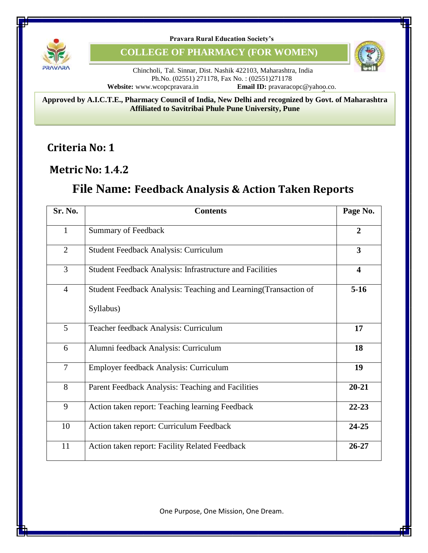

**Pravara Rural Education Society's**

**COLLEGE OF PHARMACY (FOR WOMEN)**



Chincholi, Tal. Sinnar, Dist. Nashik 422103, Maharashtra, India Ph.No. (02551) 271178, Fax No. : (02551)271178<br>Website: www.wcopcpravara.in Email ID: pravarace **Email ID:** pravaracopc@yahoo.co.

**Approved by A.I.C.T.E., Pharmacy Council of India, New Delhi and recognized by Govt. of Maharashtra Affiliated to Savitribai Phule Pune University, Pune**

**Criteria No: 1**

**MetricNo: 1.4.2**

## **File Name: Feedback Analysis & Action Taken Reports**

| Sr. No.        | <b>Contents</b>                                                                            | Page No.  |  |  |
|----------------|--------------------------------------------------------------------------------------------|-----------|--|--|
| $\mathbf{1}$   | <b>Summary of Feedback</b>                                                                 |           |  |  |
| $\overline{2}$ | $\overline{3}$<br>Student Feedback Analysis: Curriculum                                    |           |  |  |
| $\overline{3}$ | <b>Student Feedback Analysis: Infrastructure and Facilities</b><br>$\overline{\mathbf{4}}$ |           |  |  |
| $\overline{4}$ | $5-16$<br>Student Feedback Analysis: Teaching and Learning (Transaction of<br>Syllabus)    |           |  |  |
| 5              | Teacher feedback Analysis: Curriculum                                                      | 17        |  |  |
| 6              | Alumni feedback Analysis: Curriculum<br>18                                                 |           |  |  |
| $\overline{7}$ | Employer feedback Analysis: Curriculum<br>19                                               |           |  |  |
| 8              | $20 - 21$<br>Parent Feedback Analysis: Teaching and Facilities                             |           |  |  |
| 9              | $22 - 23$<br>Action taken report: Teaching learning Feedback                               |           |  |  |
| 10             | Action taken report: Curriculum Feedback                                                   | $24 - 25$ |  |  |
| 11             | $26 - 27$<br>Action taken report: Facility Related Feedback                                |           |  |  |

One Purpose, One Mission, One Dream.